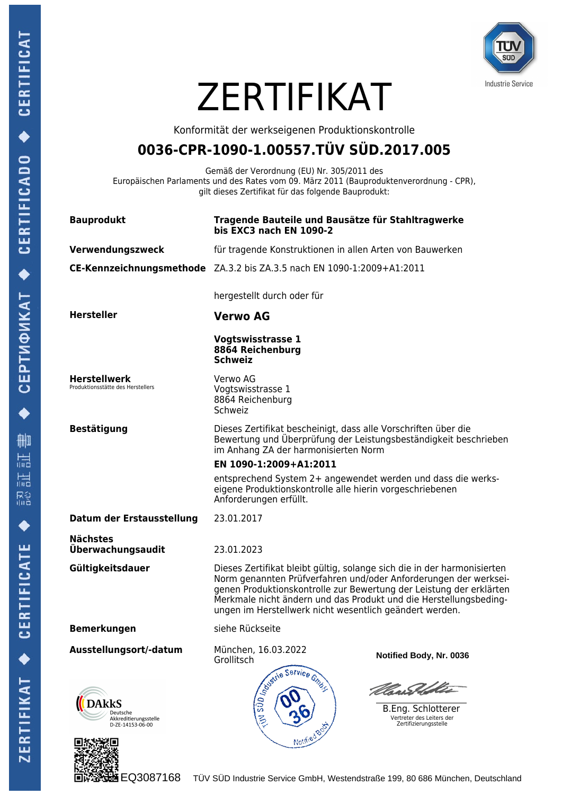

# **ZERTIFIKAT**

Konformität der werkseigenen Produktionskontrolle

# **0036-CPR-1090-1.00557.TÜV SÜD.2017.005**

Gemäß der Verordnung (EU) Nr. 305/2011 des Europäischen Parlaments und des Rates vom 09. März 2011 (Bauproduktenverordnung - CPR), gilt dieses Zertifikat für das folgende Bauprodukt:

| <b>Bauprodukt</b>                                                     | Tragende Bauteile und Bausätze für Stahltragwerke<br>bis EXC3 nach EN 1090-2                                                                                                                                                                                                                                                                       |
|-----------------------------------------------------------------------|----------------------------------------------------------------------------------------------------------------------------------------------------------------------------------------------------------------------------------------------------------------------------------------------------------------------------------------------------|
| Verwendungszweck                                                      | für tragende Konstruktionen in allen Arten von Bauwerken                                                                                                                                                                                                                                                                                           |
|                                                                       | CE-Kennzeichnungsmethode ZA.3.2 bis ZA.3.5 nach EN 1090-1:2009+A1:2011                                                                                                                                                                                                                                                                             |
|                                                                       | hergestellt durch oder für                                                                                                                                                                                                                                                                                                                         |
| <b>Hersteller</b>                                                     | <b>Verwo AG</b>                                                                                                                                                                                                                                                                                                                                    |
|                                                                       | <b>Vogtswisstrasse 1</b><br>8864 Reichenburg<br><b>Schweiz</b>                                                                                                                                                                                                                                                                                     |
| <b>Herstellwerk</b><br>Produktionsstätte des Herstellers              | Verwo AG<br>Vogtswisstrasse 1<br>8864 Reichenburg<br>Schweiz                                                                                                                                                                                                                                                                                       |
| <b>Bestätigung</b>                                                    | Dieses Zertifikat bescheinigt, dass alle Vorschriften über die<br>Bewertung und Überprüfung der Leistungsbeständigkeit beschrieben<br>im Anhang ZA der harmonisierten Norm                                                                                                                                                                         |
|                                                                       | EN 1090-1:2009+A1:2011                                                                                                                                                                                                                                                                                                                             |
|                                                                       | entsprechend System 2+ angewendet werden und dass die werks-<br>eigene Produktionskontrolle alle hierin vorgeschriebenen<br>Anforderungen erfüllt.                                                                                                                                                                                                 |
| Datum der Erstausstellung                                             | 23.01.2017                                                                                                                                                                                                                                                                                                                                         |
| <b>Nächstes</b><br>Überwachungsaudit                                  | 23.01.2023                                                                                                                                                                                                                                                                                                                                         |
| Gültigkeitsdauer                                                      | Dieses Zertifikat bleibt gültig, solange sich die in der harmonisierten<br>Norm genannten Prüfverfahren und/oder Anforderungen der werksei-<br>genen Produktionskontrolle zur Bewertung der Leistung der erklärten<br>Merkmale nicht ändern und das Produkt und die Herstellungsbeding-<br>ungen im Herstellwerk nicht wesentlich geändert werden. |
| <b>Bemerkungen</b>                                                    | siehe Rückseite                                                                                                                                                                                                                                                                                                                                    |
| Ausstellungsort/-datum                                                | München, 16.03.2022<br>Notified Body, Nr. 0036<br>Grollitsch                                                                                                                                                                                                                                                                                       |
| <b>DAkkS</b><br>Deutsche<br>Akkreditierungsstelle<br>D-ZE-14153-06-00 | <b>COLLEGIST</b><br><i>Ulan Askter</i><br>B.Eng. Schlotterer<br>Vertreter des Leiters der<br>Zertifizierungsstelle<br>Notified Boot                                                                                                                                                                                                                |
|                                                                       |                                                                                                                                                                                                                                                                                                                                                    |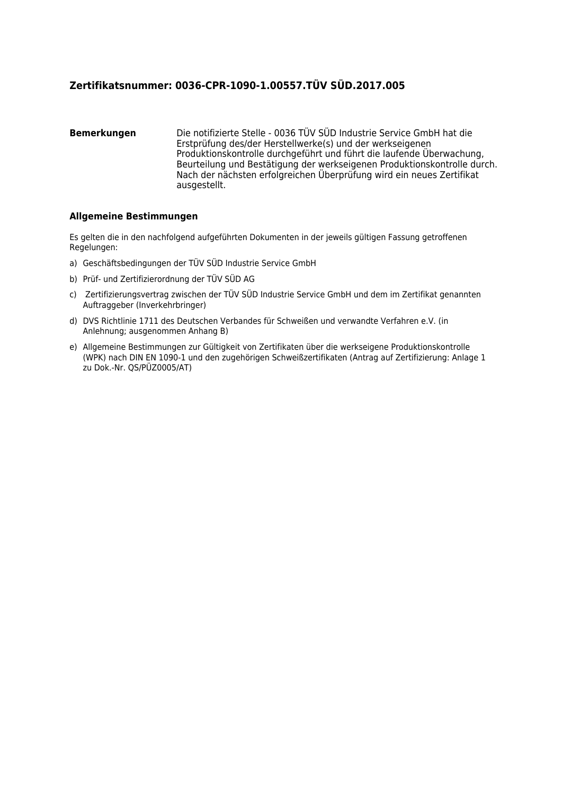## **Zertifikatsnummer: 0036-CPR-1090-1.00557.TÜV SÜD.2017.005**

#### **Bemerkungen** Die notifizierte Stelle - 0036 TÜV SÜD Industrie Service GmbH hat die Erstprüfung des/der Herstellwerke(s) und der werkseigenen Produktionskontrolle durchgeführt und führt die laufende Überwachung, Beurteilung und Bestätigung der werkseigenen Produktionskontrolle durch. Nach der nächsten erfolgreichen Überprüfung wird ein neues Zertifikat ausgestellt.

### **Allgemeine Bestimmungen**

Es gelten die in den nachfolgend aufgeführten Dokumenten in der jeweils gültigen Fassung getroffenen Regelungen:

- a) Geschäftsbedingungen der TÜV SÜD Industrie Service GmbH
- b) Prüf- und Zertifizierordnung der TÜV SÜD AG
- c) Zertifizierungsvertrag zwischen der TÜV SÜD Industrie Service GmbH und dem im Zertifikat genannten Auftraggeber (Inverkehrbringer)
- d) DVS Richtlinie 1711 des Deutschen Verbandes für Schweißen und verwandte Verfahren e.V. (in Anlehnung; ausgenommen Anhang B)
- e) Allgemeine Bestimmungen zur Gültigkeit von Zertifikaten über die werkseigene Produktionskontrolle (WPK) nach DIN EN 1090-1 und den zugehörigen Schweißzertifikaten (Antrag auf Zertifizierung: Anlage 1 zu Dok.-Nr. QS/PÜZ0005/AT)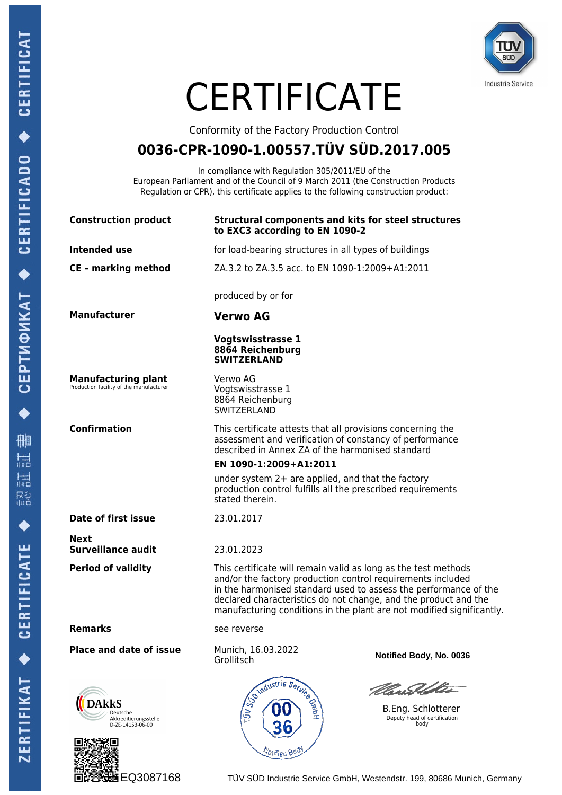CEPTИФИКАТ ◆ CERTIFICADO ◆ CERTIFICAT

 $\bullet$ 

删 温

温

R3<br>他

 $\blacklozenge$ 

ZERTIFIKAT ◆ CERTIFICATE



# **CERTIFICATE**

Conformity of the Factory Production Control

# **0036-CPR-1090-1.00557.TÜV SÜD.2017.005**

In compliance with Regulation 305/2011/EU of the European Parliament and of the Council of 9 March 2011 (the Construction Products Regulation or CPR), this certificate applies to the following construction product:

| <b>Construction product</b>                                           | <b>Structural components and kits for steel structures</b><br>to EXC3 according to EN 1090-2                                                                                                                                                                                                                                                  |
|-----------------------------------------------------------------------|-----------------------------------------------------------------------------------------------------------------------------------------------------------------------------------------------------------------------------------------------------------------------------------------------------------------------------------------------|
| Intended use                                                          | for load-bearing structures in all types of buildings                                                                                                                                                                                                                                                                                         |
| <b>CE</b> - marking method                                            | ZA.3.2 to ZA.3.5 acc. to EN 1090-1:2009+A1:2011                                                                                                                                                                                                                                                                                               |
|                                                                       | produced by or for                                                                                                                                                                                                                                                                                                                            |
| <b>Manufacturer</b>                                                   | <b>Verwo AG</b>                                                                                                                                                                                                                                                                                                                               |
|                                                                       | <b>Vogtswisstrasse 1</b><br>8864 Reichenburg<br><b>SWITZERLAND</b>                                                                                                                                                                                                                                                                            |
| <b>Manufacturing plant</b><br>Production facility of the manufacturer | Verwo AG<br>Vogtswisstrasse 1<br>8864 Reichenburg<br>SWITZERLAND                                                                                                                                                                                                                                                                              |
| <b>Confirmation</b>                                                   | This certificate attests that all provisions concerning the<br>assessment and verification of constancy of performance<br>described in Annex ZA of the harmonised standard                                                                                                                                                                    |
|                                                                       | EN 1090-1:2009+A1:2011                                                                                                                                                                                                                                                                                                                        |
|                                                                       | under system $2+$ are applied, and that the factory<br>production control fulfills all the prescribed requirements<br>stated therein.                                                                                                                                                                                                         |
| Date of first issue                                                   | 23.01.2017                                                                                                                                                                                                                                                                                                                                    |
| Next<br><b>Surveillance audit</b>                                     | 23.01.2023                                                                                                                                                                                                                                                                                                                                    |
| <b>Period of validity</b>                                             | This certificate will remain valid as long as the test methods<br>and/or the factory production control requirements included<br>in the harmonised standard used to assess the performance of the<br>declared characteristics do not change, and the product and the<br>manufacturing conditions in the plant are not modified significantly. |
| <b>Remarks</b>                                                        | see reverse                                                                                                                                                                                                                                                                                                                                   |
| <b>Place and date of issue</b>                                        | Munich, 16.03.2022<br>Notified Body, No. 0036<br>Grollitsch                                                                                                                                                                                                                                                                                   |
| <b>)AkkS</b><br>Deutsche<br>Akkreditierungsstelle<br>D-ZE-14153-06-00 | Sombustrie Service<br><u>Con Del de </u><br>B.Eng. Schlotterer<br>Deputy head of certification<br>body<br>Votified Boo                                                                                                                                                                                                                        |

EQ3087168 TÜV SÜD Industrie Service GmbH, Westendstr. 199, 80686 Munich, Germany